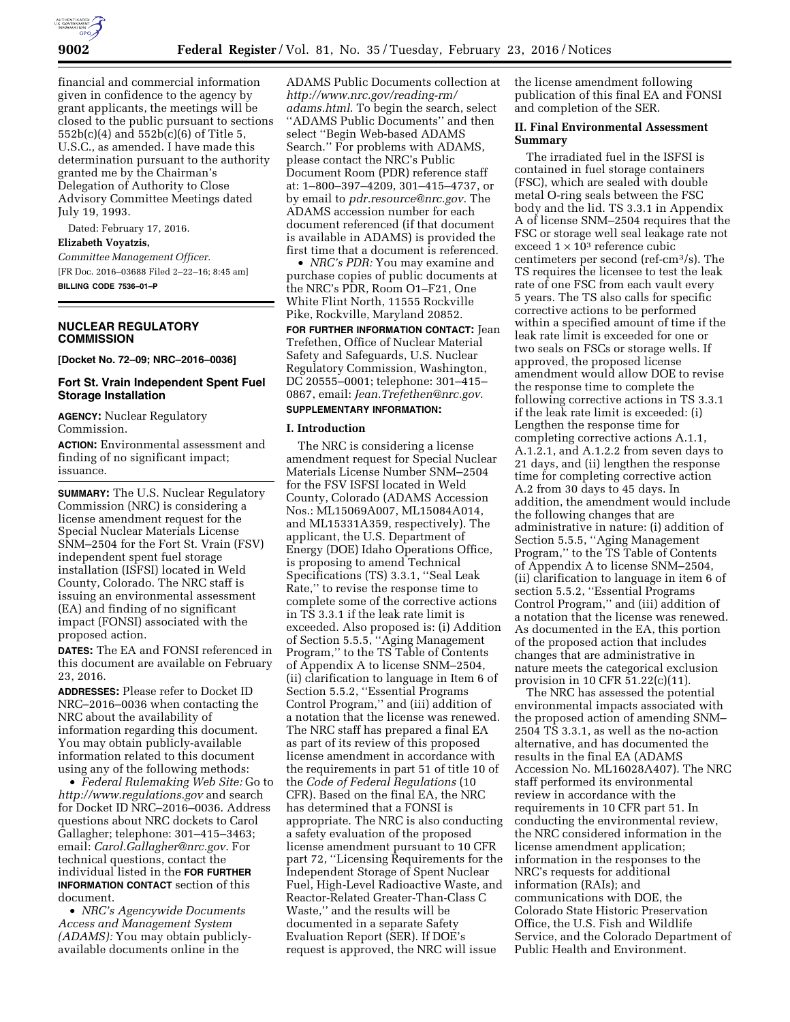

financial and commercial information given in confidence to the agency by grant applicants, the meetings will be closed to the public pursuant to sections 552b(c)(4) and 552b(c)(6) of Title 5, U.S.C., as amended. I have made this determination pursuant to the authority granted me by the Chairman's Delegation of Authority to Close Advisory Committee Meetings dated July 19, 1993.

Dated: February 17, 2016. **Elizabeth Voyatzis,**  *Committee Management Officer.*  [FR Doc. 2016–03688 Filed 2–22–16; 8:45 am] **BILLING CODE 7536–01–P** 

# **NUCLEAR REGULATORY COMMISSION**

**[Docket No. 72–09; NRC–2016–0036]** 

### **Fort St. Vrain Independent Spent Fuel Storage Installation**

**AGENCY:** Nuclear Regulatory Commission.

**ACTION:** Environmental assessment and finding of no significant impact; issuance.

**SUMMARY:** The U.S. Nuclear Regulatory Commission (NRC) is considering a license amendment request for the Special Nuclear Materials License SNM–2504 for the Fort St. Vrain (FSV) independent spent fuel storage installation (ISFSI) located in Weld County, Colorado. The NRC staff is issuing an environmental assessment (EA) and finding of no significant impact (FONSI) associated with the proposed action.

**DATES:** The EA and FONSI referenced in this document are available on February 23, 2016.

**ADDRESSES:** Please refer to Docket ID NRC–2016–0036 when contacting the NRC about the availability of information regarding this document. You may obtain publicly-available information related to this document using any of the following methods:

• *Federal Rulemaking Web Site:* Go to *<http://www.regulations.gov>* and search for Docket ID NRC–2016–0036. Address questions about NRC dockets to Carol Gallagher; telephone: 301–415–3463; email: *[Carol.Gallagher@nrc.gov](mailto:Carol.Gallagher@nrc.gov)*. For technical questions, contact the individual listed in the **FOR FURTHER INFORMATION CONTACT** section of this document.

• *NRC's Agencywide Documents Access and Management System (ADAMS):* You may obtain publiclyavailable documents online in the

ADAMS Public Documents collection at *[http://www.nrc.gov/reading-rm/](http://www.nrc.gov/reading-rm/adams.html) [adams.html](http://www.nrc.gov/reading-rm/adams.html)*. To begin the search, select ''ADAMS Public Documents'' and then select ''Begin Web-based ADAMS Search.'' For problems with ADAMS, please contact the NRC's Public Document Room (PDR) reference staff at: 1–800–397–4209, 301–415–4737, or by email to *[pdr.resource@nrc.gov](mailto:pdr.resource@nrc.gov)*. The ADAMS accession number for each document referenced (if that document is available in ADAMS) is provided the first time that a document is referenced.

• *NRC's PDR:* You may examine and purchase copies of public documents at the NRC's PDR, Room O1–F21, One White Flint North, 11555 Rockville Pike, Rockville, Maryland 20852.

**FOR FURTHER INFORMATION CONTACT:** Jean Trefethen, Office of Nuclear Material Safety and Safeguards, U.S. Nuclear Regulatory Commission, Washington, DC 20555–0001; telephone: 301–415– 0867, email: *[Jean.Trefethen@nrc.gov](mailto:Jean.Trefethen@nrc.gov)*.

# **SUPPLEMENTARY INFORMATION:**

## **I. Introduction**

The NRC is considering a license amendment request for Special Nuclear Materials License Number SNM–2504 for the FSV ISFSI located in Weld County, Colorado (ADAMS Accession Nos.: ML15069A007, ML15084A014, and ML15331A359, respectively). The applicant, the U.S. Department of Energy (DOE) Idaho Operations Office, is proposing to amend Technical Specifications (TS) 3.3.1, ''Seal Leak Rate,'' to revise the response time to complete some of the corrective actions in TS 3.3.1 if the leak rate limit is exceeded. Also proposed is: (i) Addition of Section 5.5.5, ''Aging Management Program,'' to the TS Table of Contents of Appendix A to license SNM–2504, (ii) clarification to language in Item 6 of Section 5.5.2, ''Essential Programs Control Program,'' and (iii) addition of a notation that the license was renewed. The NRC staff has prepared a final EA as part of its review of this proposed license amendment in accordance with the requirements in part 51 of title 10 of the *Code of Federal Regulations* (10 CFR). Based on the final EA, the NRC has determined that a FONSI is appropriate. The NRC is also conducting a safety evaluation of the proposed license amendment pursuant to 10 CFR part 72, ''Licensing Requirements for the Independent Storage of Spent Nuclear Fuel, High-Level Radioactive Waste, and Reactor-Related Greater-Than-Class C Waste,'' and the results will be documented in a separate Safety Evaluation Report (SER). If DOE's request is approved, the NRC will issue

the license amendment following publication of this final EA and FONSI and completion of the SER.

# **II. Final Environmental Assessment Summary**

The irradiated fuel in the ISFSI is contained in fuel storage containers (FSC), which are sealed with double metal O-ring seals between the FSC body and the lid. TS 3.3.1 in Appendix A of license SNM–2504 requires that the FSC or storage well seal leakage rate not exceed  $1 \times 10^3$  reference cubic centimeters per second (ref-cm3/s). The TS requires the licensee to test the leak rate of one FSC from each vault every 5 years. The TS also calls for specific corrective actions to be performed within a specified amount of time if the leak rate limit is exceeded for one or two seals on FSCs or storage wells. If approved, the proposed license amendment would allow DOE to revise the response time to complete the following corrective actions in TS 3.3.1 if the leak rate limit is exceeded: (i) Lengthen the response time for completing corrective actions A.1.1, A.1.2.1, and A.1.2.2 from seven days to 21 days, and (ii) lengthen the response time for completing corrective action A.2 from 30 days to 45 days. In addition, the amendment would include the following changes that are administrative in nature: (i) addition of Section 5.5.5, ''Aging Management Program,'' to the TS Table of Contents of Appendix A to license SNM–2504, (ii) clarification to language in item 6 of section 5.5.2, ''Essential Programs Control Program,'' and (iii) addition of a notation that the license was renewed. As documented in the EA, this portion of the proposed action that includes changes that are administrative in nature meets the categorical exclusion provision in 10 CFR 51.22(c)(11).

The NRC has assessed the potential environmental impacts associated with the proposed action of amending SNM– 2504 TS 3.3.1, as well as the no-action alternative, and has documented the results in the final EA (ADAMS Accession No. ML16028A407). The NRC staff performed its environmental review in accordance with the requirements in 10 CFR part 51. In conducting the environmental review, the NRC considered information in the license amendment application; information in the responses to the NRC's requests for additional information (RAIs); and communications with DOE, the Colorado State Historic Preservation Office, the U.S. Fish and Wildlife Service, and the Colorado Department of Public Health and Environment.